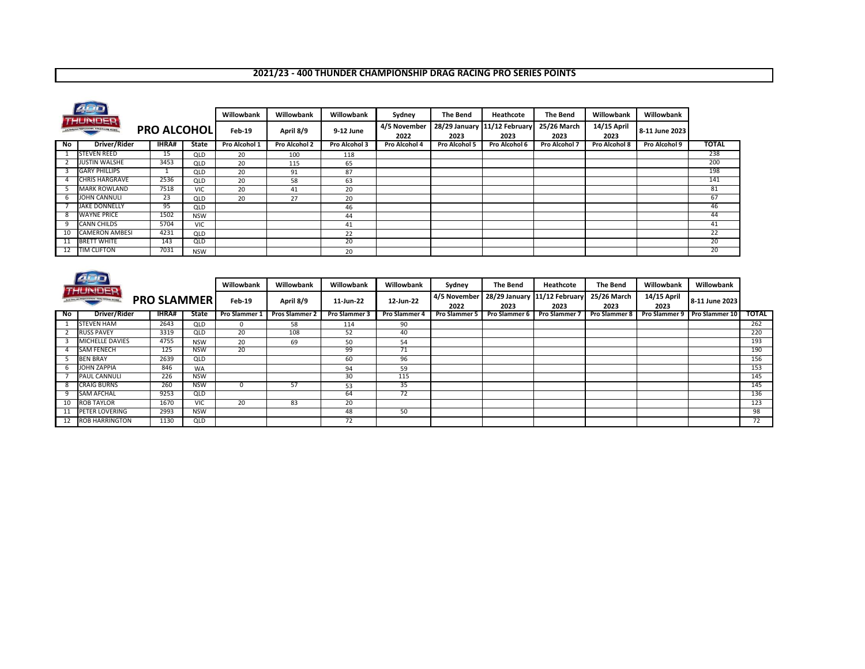## **2021/23 - 400 THUNDER CHAMPIONSHIP DRAG RACING PRO SERIES POINTS**

|                                                                            | 400                   |              |            |               |               |                      |               |                                      |                     |                     |                |               |              |
|----------------------------------------------------------------------------|-----------------------|--------------|------------|---------------|---------------|----------------------|---------------|--------------------------------------|---------------------|---------------------|----------------|---------------|--------------|
|                                                                            |                       |              |            | Willowbank    | Willowbank    | Willowbank           | Sydney        | <b>The Bend</b>                      | Heathcote           | <b>The Bend</b>     | Willowbank     | Willowbank    |              |
| HUNDER<br><b>PRO ALCOHOLI</b><br>AUCTINALIZA PROFESSIONAL DRAG RACING ATOM |                       |              | Feb-19     | April 8/9     | 9-12 June     | 4/5 November<br>2022 | 2023          | 28/29 January 11/12 February<br>2023 | 25/26 March<br>2023 | 14/15 April<br>2023 | 8-11 June 2023 |               |              |
| No                                                                         | Driver/Rider          | <b>IHRA#</b> | State      | Pro Alcohol 1 | Pro Alcohol 2 | Pro Alcohol 3        | Pro Alcohol 4 | Pro Alcohol 5                        | Pro Alcohol 6       | Pro Alcohol 7       | Pro Alcohol 8  | Pro Alcohol 9 | <b>TOTAL</b> |
|                                                                            | <b>STEVEN REED</b>    | 15           | QLD        | 20            | 100           | 118                  |               |                                      |                     |                     |                |               | 238          |
|                                                                            | <b>JUSTIN WALSHE</b>  | 3453         | QLD        | 20            | 115           | 65                   |               |                                      |                     |                     |                |               | 200          |
|                                                                            | <b>GARY PHILLIPS</b>  | ᆚ            | QLD        | 20            | 91            | 87                   |               |                                      |                     |                     |                |               | 198          |
|                                                                            | <b>CHRIS HARGRAVE</b> | 2536         | QLD        | 20            | 58            | 63                   |               |                                      |                     |                     |                |               | 141          |
|                                                                            | MARK ROWLAND          | 7518         | <b>VIC</b> | 20            | 41            | 20                   |               |                                      |                     |                     |                |               | 81           |
| h                                                                          | JOHN CANNULI          | 23           | QLD        | 20            | 27            | 20                   |               |                                      |                     |                     |                |               | 67           |
|                                                                            | <b>JAKE DONNELLY</b>  | 95           | QLD        |               |               | 46                   |               |                                      |                     |                     |                |               | 46           |
|                                                                            | <b>WAYNE PRICE</b>    | 1502         | <b>NSW</b> |               |               | 44                   |               |                                      |                     |                     |                |               | 44           |
| 9                                                                          | <b>CANN CHILDS</b>    | 5704         | <b>VIC</b> |               |               | 41                   |               |                                      |                     |                     |                |               | 41           |
| 10                                                                         | <b>CAMERON AMBESI</b> | 4231         | QLD        |               |               | 22                   |               |                                      |                     |                     |                |               | 22           |
| 11                                                                         | <b>BRETT WHITE</b>    | 143          | QLD        |               |               | 20                   |               |                                      |                     |                     |                |               | 20           |
|                                                                            | <b>TIM CLIFTON</b>    | 7031         | <b>NSW</b> |               |               | 20                   |               |                                      |                     |                     |                |               | 20           |

|                                                                  | 400<br><b>THUNDER</b> |  |        |            | Willowbank    | Willowbank            | Willowbank           | Willowbank           | Sydney                               | <b>The Bend</b>     | Heathcote            | The Bend             | Willowbank    | Willowbank     |              |
|------------------------------------------------------------------|-----------------------|--|--------|------------|---------------|-----------------------|----------------------|----------------------|--------------------------------------|---------------------|----------------------|----------------------|---------------|----------------|--------------|
| AUSTRALIAN PROFESSIONAL DRAG RACING REASES<br><b>PRO SLAMMER</b> |                       |  | Feb-19 | April 8/9  | 11-Jun-22     | 12-Jun-22             | 4/5 November<br>2022 | 2023                 | 28/29 January 11/12 February<br>2023 | 25/26 March<br>2023 | 14/15 April<br>2023  | 8-11 June 2023       |               |                |              |
| No                                                               | Driver/Rider          |  | IHRA#  | State      | Pro Slammer 1 | <b>Pros Slammer 2</b> | <b>Pro Slammer 3</b> | <b>Pro Slammer 4</b> | <b>Pro Slammer 5</b>                 | Pro Slammer 6       | <b>Pro Slammer 7</b> | <b>Pro Slammer 8</b> | Pro Slammer 9 | Pro Slammer 10 | <b>TOTAL</b> |
|                                                                  | <b>STEVEN HAM</b>     |  | 2643   | QLD        | $\Omega$      | 58                    | 114                  | 90                   |                                      |                     |                      |                      |               |                | 262          |
|                                                                  | <b>RUSS PAVEY</b>     |  | 3319   | QLD        | 20            | 108                   | 52                   | 40                   |                                      |                     |                      |                      |               |                | 220          |
|                                                                  | MICHELLE DAVIES       |  | 4755   | <b>NSW</b> | 20            | 69                    | 50                   | 54                   |                                      |                     |                      |                      |               |                | 193          |
|                                                                  | <b>SAM FENECH</b>     |  | 125    | <b>NSW</b> | 20            |                       | 99                   | 71                   |                                      |                     |                      |                      |               |                | 190          |
|                                                                  | <b>BEN BRAY</b>       |  | 2639   | <b>QLD</b> |               |                       | 60                   | 96                   |                                      |                     |                      |                      |               |                | 156          |
|                                                                  | JOHN ZAPPIA           |  | 846    | <b>WA</b>  |               |                       | 94                   | 59                   |                                      |                     |                      |                      |               |                | 153          |
|                                                                  | <b>PAUL CANNULI</b>   |  | 226    | <b>NSW</b> |               |                       | 30                   | 115                  |                                      |                     |                      |                      |               |                | 145          |
|                                                                  | <b>CRAIG BURNS</b>    |  | 260    | <b>NSW</b> | $\Omega$      | 57                    | 53                   | 35                   |                                      |                     |                      |                      |               |                | 145          |
|                                                                  | <b>SAM AFCHAL</b>     |  | 9253   | QLD        |               |                       | 64                   | 72                   |                                      |                     |                      |                      |               |                | 136          |
| 10                                                               | <b>ROB TAYLOR</b>     |  | 1670   | <b>VIC</b> | 20            | 83                    | 20                   |                      |                                      |                     |                      |                      |               |                | 123          |
|                                                                  | <b>PETER LOVERING</b> |  | 2993   | <b>NSW</b> |               |                       | 48                   | 50                   |                                      |                     |                      |                      |               |                | 98           |
| 12                                                               | <b>ROB HARRINGTON</b> |  | 1130   | QLD        |               |                       | 72                   |                      |                                      |                     |                      |                      |               |                | 72           |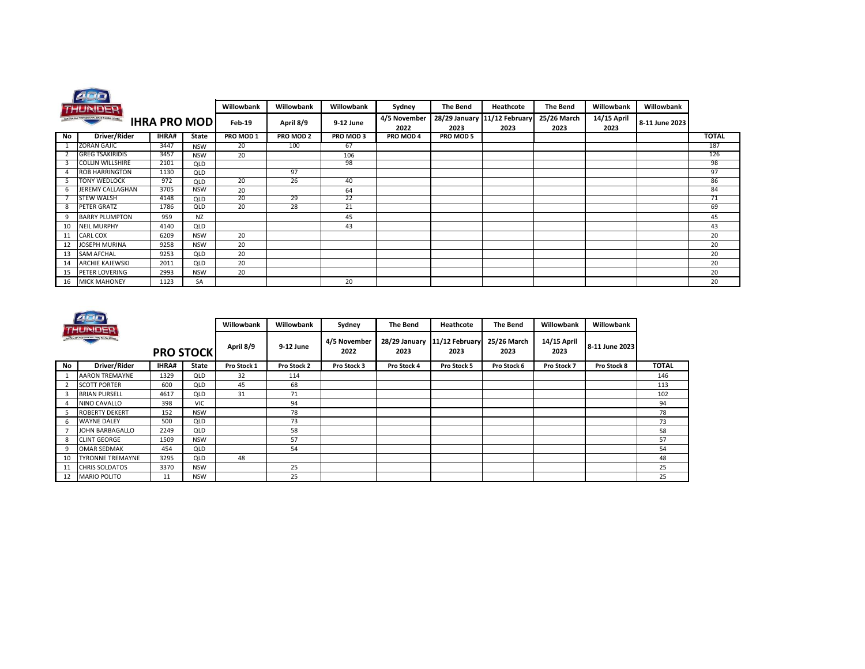|                                                                 | <b>PUD</b>             |       |              |            |            |            |                      |                 |                                      |                     |                     |                |              |
|-----------------------------------------------------------------|------------------------|-------|--------------|------------|------------|------------|----------------------|-----------------|--------------------------------------|---------------------|---------------------|----------------|--------------|
|                                                                 | THUNDER                |       |              | Willowbank | Willowbank | Willowbank | Sydney               | <b>The Bend</b> | Heathcote                            | <b>The Bend</b>     | Willowbank          | Willowbank     |              |
| ALNTRA DA PROFESSIONAL DRAG MACINE CENER<br><b>IHRA PRO MOD</b> |                        |       |              | Feb-19     | April 8/9  | 9-12 June  | 4/5 November<br>2022 | 2023            | 28/29 January 11/12 February<br>2023 | 25/26 March<br>2023 | 14/15 April<br>2023 | 8-11 June 2023 |              |
| No                                                              | Driver/Rider           | IHRA# | <b>State</b> | PRO MOD 1  | PRO MOD 2  | PRO MOD 3  | PRO MOD 4            | PRO MOD 5       |                                      |                     |                     |                | <b>TOTAL</b> |
|                                                                 | <b>ZORAN GAJIC</b>     | 3447  | <b>NSW</b>   | 20         | 100        | 67         |                      |                 |                                      |                     |                     |                | 187          |
|                                                                 | <b>GREG TSAKIRIDIS</b> | 3457  | <b>NSW</b>   | 20         |            | 106        |                      |                 |                                      |                     |                     |                | 126          |
|                                                                 | COLLIN WILLSHIRE       | 2101  | QLD          |            |            | 98         |                      |                 |                                      |                     |                     |                | 98           |
|                                                                 | ROB HARRINGTON         | 1130  | <b>QLD</b>   |            | 97         |            |                      |                 |                                      |                     |                     |                | 97           |
|                                                                 | <b>TONY WEDLOCK</b>    | 972   | QLD          | 20         | 26         | 40         |                      |                 |                                      |                     |                     |                | 86           |
| b                                                               | JEREMY CALLAGHAN       | 3705  | <b>NSW</b>   | 20         |            | 64         |                      |                 |                                      |                     |                     |                | 84           |
|                                                                 | <b>STEW WALSH</b>      | 4148  | QLD          | 20         | 29         | 22         |                      |                 |                                      |                     |                     |                | 71           |
|                                                                 | PETER GRATZ            | 1786  | QLD          | 20         | 28         | 21         |                      |                 |                                      |                     |                     |                | 69           |
| q                                                               | <b>BARRY PLUMPTON</b>  | 959   | <b>NZ</b>    |            |            | 45         |                      |                 |                                      |                     |                     |                | 45           |
| 10                                                              | <b>NEIL MURPHY</b>     | 4140  | QLD          |            |            | 43         |                      |                 |                                      |                     |                     |                | 43           |
| 11                                                              | <b>CARL COX</b>        | 6209  | <b>NSW</b>   | 20         |            |            |                      |                 |                                      |                     |                     |                | 20           |
| 12                                                              | JOSEPH MURINA          | 9258  | <b>NSW</b>   | 20         |            |            |                      |                 |                                      |                     |                     |                | 20           |
| 13                                                              | <b>SAM AFCHAL</b>      | 9253  | QLD          | 20         |            |            |                      |                 |                                      |                     |                     |                | 20           |
| 14                                                              | <b>ARCHIE KAJEWSKI</b> | 2011  | QLD          | 20         |            |            |                      |                 |                                      |                     |                     |                | 20           |
| 15                                                              | PETER LOVERING         | 2993  | <b>NSW</b>   | 20         |            |            |                      |                 |                                      |                     |                     |                | 20           |
| 16                                                              | <b>MICK MAHONEY</b>    | 1123  | SA           |            |            | 20         |                      |                 |                                      |                     |                     |                | 20           |

 $\sim$ 

|                | AFIET<br>THUNDER                             |                  |            | Willowbank  | Willowbank  | Sydney               | The Bend              | Heathcote              | The Bend            | Willowbank          | Willowbank     |              |
|----------------|----------------------------------------------|------------------|------------|-------------|-------------|----------------------|-----------------------|------------------------|---------------------|---------------------|----------------|--------------|
|                | AUCTION OF PEOPPRIS HAL FIRED WATANA HISSIMI | <b>PRO STOCK</b> |            | April 8/9   | 9-12 June   | 4/5 November<br>2022 | 28/29 January<br>2023 | 11/12 February<br>2023 | 25/26 March<br>2023 | 14/15 April<br>2023 | 8-11 June 2023 |              |
| No             | Driver/Rider                                 | IHRA#            | State      | Pro Stock 1 | Pro Stock 2 | Pro Stock 3          | Pro Stock 4           | Pro Stock 5            | Pro Stock 6         | Pro Stock 7         | Pro Stock 8    | <b>TOTAL</b> |
|                | <b>AARON TREMAYNE</b>                        | 1329             | QLD        | 32          | 114         |                      |                       |                        |                     |                     |                | 146          |
| $\overline{2}$ | <b>SCOTT PORTER</b>                          | 600              | QLD        | 45          | 68          |                      |                       |                        |                     |                     |                | 113          |
| 3              | <b>BRIAN PURSELL</b>                         | 4617             | QLD        | 31          | 71          |                      |                       |                        |                     |                     |                | 102          |
| $\Delta$       | NINO CAVALLO                                 | 398              | <b>VIC</b> |             | 94          |                      |                       |                        |                     |                     |                | 94           |
| 5              | <b>ROBERTY DEKERT</b>                        | 152              | <b>NSW</b> |             | 78          |                      |                       |                        |                     |                     |                | 78           |
| 6              | <b>WAYNE DALEY</b>                           | 500              | <b>QLD</b> |             | 73          |                      |                       |                        |                     |                     |                | 73           |
|                | JOHN BARBAGALLO                              | 2249             | <b>QLD</b> |             | 58          |                      |                       |                        |                     |                     |                | 58           |
| 8              | <b>CLINT GEORGE</b>                          | 1509             | <b>NSW</b> |             | 57          |                      |                       |                        |                     |                     |                | 57           |
| 9              | OMAR SEDMAK                                  | 454              | QLD        |             | 54          |                      |                       |                        |                     |                     |                | 54           |
| 10             | <b>TYRONNE TREMAYNE</b>                      | 3295             | QLD        | 48          |             |                      |                       |                        |                     |                     |                | 48           |
| 11             | <b>CHRIS SOLDATOS</b>                        | 3370             | <b>NSW</b> |             | 25          |                      |                       |                        |                     |                     |                | 25           |
| 12             | <b>MARIO POLITO</b>                          | 11               | <b>NSW</b> |             | 25          |                      |                       |                        |                     |                     |                | 25           |